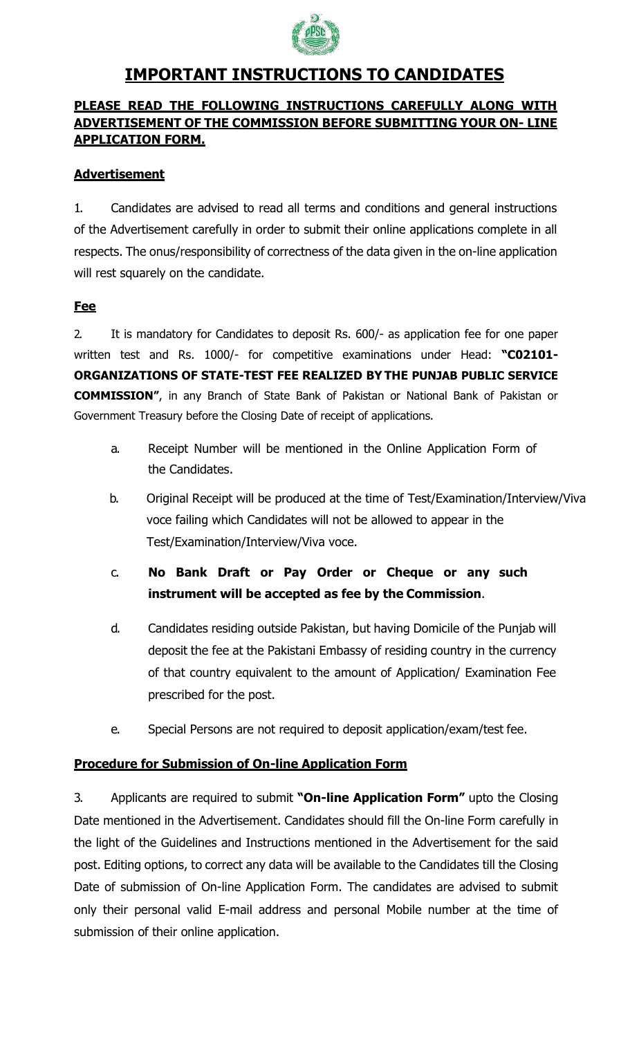

### **IMPORTANT INSTRUCTIONS TO CANDIDATES**

### **PLEASE READ THE FOLLOWING INSTRUCTIONS CAREFULLY ALONG WITH ADVERTISEMENT OF THE COMMISSION BEFORE SUBMITTING YOUR ON- LINE APPLICATION FORM.**

### **Advertisement**

1. Candidates are advised to read all terms and conditions and general instructions of the Advertisement carefully in order to submit their online applications complete in all respects. The onus/responsibility of correctness of the data given in the on-line application will rest squarely on the candidate.

### **Fee**

2. It is mandatory for Candidates to deposit Rs. 600/- as application fee for one paper written test and Rs. 1000/- for competitive examinations under Head: **"C02101- ORGANIZATIONS OF STATE-TEST FEE REALIZED BY THE PUNJAB PUBLIC SERVICE COMMISSION"**, in any Branch of State Bank of Pakistan or National Bank of Pakistan or Government Treasury before the Closing Date of receipt of applications.

- a. Receipt Number will be mentioned in the Online Application Form of the Candidates.
- b. Original Receipt will be produced at the time of Test/Examination/Interview/Viva voce failing which Candidates will not be allowed to appear in the Test/Examination/Interview/Viva voce.
- c. **No Bank Draft or Pay Order or Cheque or any such instrument will be accepted as fee by the Commission**.
- d. Candidates residing outside Pakistan, but having Domicile of the Punjab will deposit the fee at the Pakistani Embassy of residing country in the currency of that country equivalent to the amount of Application/ Examination Fee prescribed for the post.
- e. Special Persons are not required to deposit application/exam/test fee.

### **Procedure for Submission of On-line Application Form**

3. Applicants are required to submit **"On-line Application Form"** upto the Closing Date mentioned in the Advertisement. Candidates should fill the On-line Form carefully in the light of the Guidelines and Instructions mentioned in the Advertisement for the said post. Editing options, to correct any data will be available to the Candidates till the Closing Date of submission of On-line Application Form. The candidates are advised to submit only their personal valid E-mail address and personal Mobile number at the time of submission of their online application.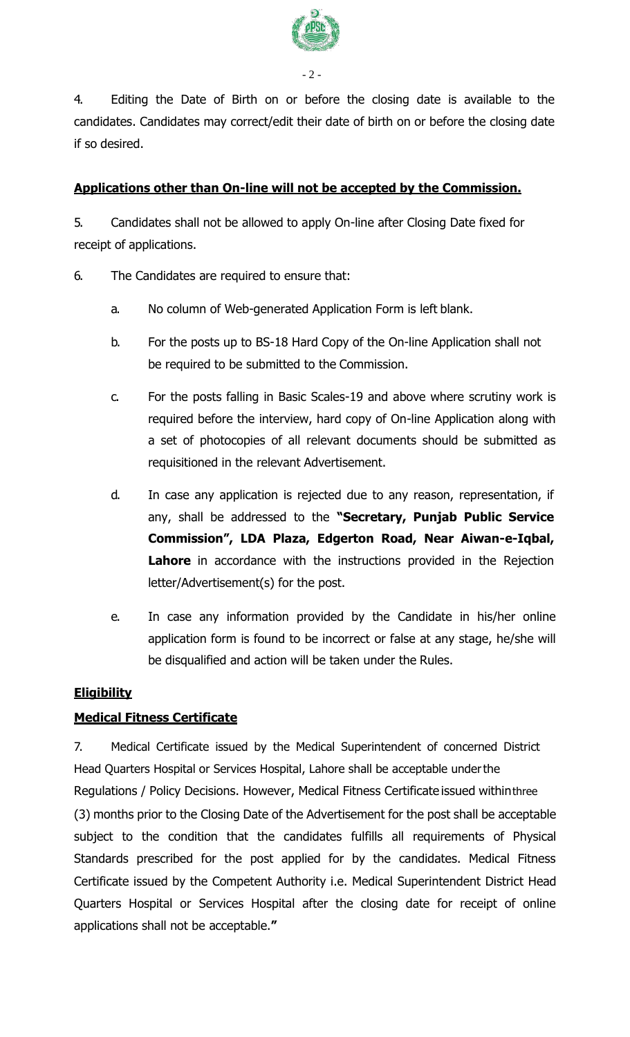

4. Editing the Date of Birth on or before the closing date is available to the candidates. Candidates may correct/edit their date of birth on or before the closing date if so desired.

### **Applications other than On-line will not be accepted by the Commission.**

5. Candidates shall not be allowed to apply On-line after Closing Date fixed for receipt of applications.

- 6. The Candidates are required to ensure that:
	- a. No column of Web-generated Application Form is left blank.
	- b. For the posts up to BS-18 Hard Copy of the On-line Application shall not be required to be submitted to the Commission.
	- c. For the posts falling in Basic Scales-19 and above where scrutiny work is required before the interview, hard copy of On-line Application along with a set of photocopies of all relevant documents should be submitted as requisitioned in the relevant Advertisement.
	- d. In case any application is rejected due to any reason, representation, if any, shall be addressed to the **"Secretary, Punjab Public Service Commission", LDA Plaza, Edgerton Road, Near Aiwan-e-Iqbal,**  Lahore in accordance with the instructions provided in the Rejection letter/Advertisement(s) for the post.
	- e. In case any information provided by the Candidate in his/her online application form is found to be incorrect or false at any stage, he/she will be disqualified and action will be taken under the Rules.

### **Eligibility**

### **Medical Fitness Certificate**

7. Medical Certificate issued by the Medical Superintendent of concerned District Head Quarters Hospital or Services Hospital, Lahore shall be acceptable underthe Regulations / Policy Decisions. However, Medical Fitness Certificate issued withinthree (3) months prior to the Closing Date of the Advertisement for the post shall be acceptable subject to the condition that the candidates fulfills all requirements of Physical Standards prescribed for the post applied for by the candidates. Medical Fitness Certificate issued by the Competent Authority i.e. Medical Superintendent District Head Quarters Hospital or Services Hospital after the closing date for receipt of online applications shall not be acceptable.**"**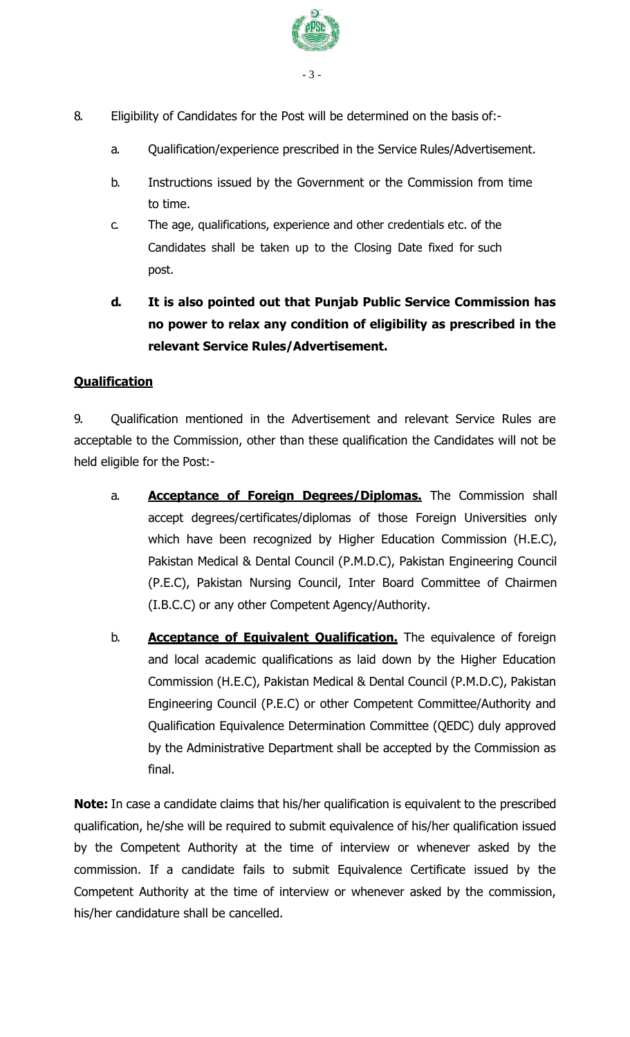

- 8. Eligibility of Candidates for the Post will be determined on the basis of:
	- a. Qualification/experience prescribed in the Service Rules/Advertisement.
	- b. Instructions issued by the Government or the Commission from time to time.
	- c. The age, qualifications, experience and other credentials etc. of the Candidates shall be taken up to the Closing Date fixed for such post.
	- **d. It is also pointed out that Punjab Public Service Commission has no power to relax any condition of eligibility as prescribed in the relevant Service Rules/Advertisement.**

### **Qualification**

9. Qualification mentioned in the Advertisement and relevant Service Rules are acceptable to the Commission, other than these qualification the Candidates will not be held eligible for the Post:-

- a. **Acceptance of Foreign Degrees/Diplomas.** The Commission shall accept degrees/certificates/diplomas of those Foreign Universities only which have been recognized by Higher Education Commission (H.E.C), Pakistan Medical & Dental Council (P.M.D.C), Pakistan Engineering Council (P.E.C), Pakistan Nursing Council, Inter Board Committee of Chairmen (I.B.C.C) or any other Competent Agency/Authority.
- b. **Acceptance of Equivalent Qualification.** The equivalence of foreign and local academic qualifications as laid down by the Higher Education Commission (H.E.C), Pakistan Medical & Dental Council (P.M.D.C), Pakistan Engineering Council (P.E.C) or other Competent Committee/Authority and Qualification Equivalence Determination Committee (QEDC) duly approved by the Administrative Department shall be accepted by the Commission as final.

**Note:** In case a candidate claims that his/her qualification is equivalent to the prescribed qualification, he/she will be required to submit equivalence of his/her qualification issued by the Competent Authority at the time of interview or whenever asked by the commission. If a candidate fails to submit Equivalence Certificate issued by the Competent Authority at the time of interview or whenever asked by the commission, his/her candidature shall be cancelled.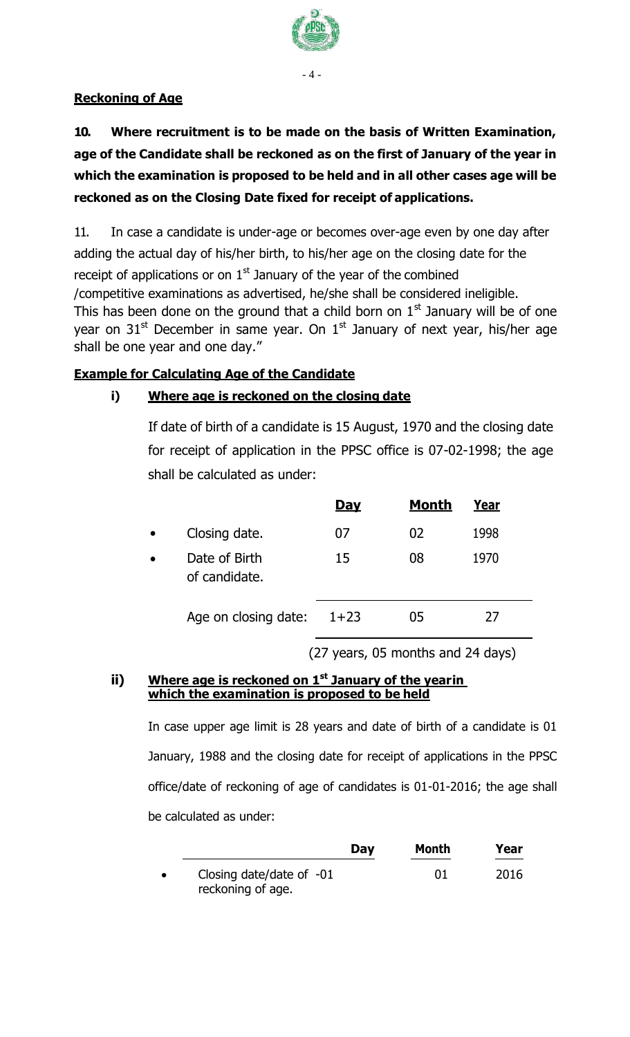

#### - 4 -

### **Reckoning of Age**

## **10. Where recruitment is to be made on the basis of Written Examination, age of the Candidate shall be reckoned as on the first of January of the year in which the examination is proposed to be held and in all other cases age will be reckoned as on the Closing Date fixed for receipt of applications.**

11. In case a candidate is under-age or becomes over-age even by one day after adding the actual day of his/her birth, to his/her age on the closing date for the receipt of applications or on  $1<sup>st</sup>$  January of the year of the combined /competitive examinations as advertised, he/she shall be considered ineligible. This has been done on the ground that a child born on  $1<sup>st</sup>$  January will be of one year on  $31<sup>st</sup>$  December in same year. On  $1<sup>st</sup>$  January of next year, his/her age shall be one year and one day."

### **Example for Calculating Age of the Candidate**

### **i) Where age is reckoned on the closing date**

If date of birth of a candidate is 15 August, 1970 and the closing date for receipt of application in the PPSC office is 07-02-1998; the age shall be calculated as under:

|                                | <b>Day</b> | <b>Month</b> | Year |  |
|--------------------------------|------------|--------------|------|--|
| Closing date.                  | 07         | 02           | 1998 |  |
| Date of Birth<br>of candidate. | 15         | 08           | 1970 |  |
| Age on closing date:           | $1+23$     | 05           | 27   |  |

(27 years, 05 months and 24 days)

#### **ii) Where age is reckoned on 1st January of the yearin which the examination is proposed to be held**

In case upper age limit is 28 years and date of birth of a candidate is 01 January, 1988 and the closing date for receipt of applications in the PPSC office/date of reckoning of age of candidates is 01-01-2016; the age shall be calculated as under:

|           |                                                 | Day | Month | Year |
|-----------|-------------------------------------------------|-----|-------|------|
| $\bullet$ | Closing date/date of $-01$<br>reckoning of age. |     | 01    | 2016 |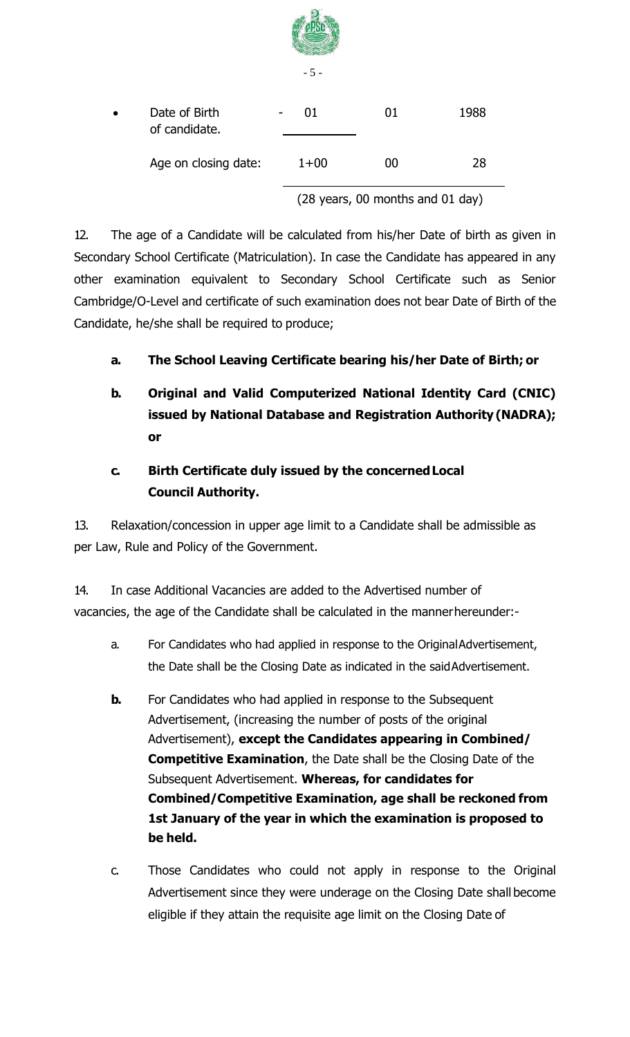|           |                                |  | $-5-$                            |    |      |
|-----------|--------------------------------|--|----------------------------------|----|------|
| $\bullet$ | Date of Birth<br>of candidate. |  | 01                               | 01 | 1988 |
|           | Age on closing date:           |  | $1 + 00$                         | 00 | 28   |
|           |                                |  | (28 years, 00 months and 01 day) |    |      |

12. The age of a Candidate will be calculated from his/her Date of birth as given in Secondary School Certificate (Matriculation). In case the Candidate has appeared in any other examination equivalent to Secondary School Certificate such as Senior Cambridge/O-Level and certificate of such examination does not bear Date of Birth of the Candidate, he/she shall be required to produce;

### **a. The School Leaving Certificate bearing his/her Date of Birth; or**

**b. Original and Valid Computerized National Identity Card (CNIC) issued by National Database and Registration Authority (NADRA); or**

### **c. Birth Certificate duly issued by the concernedLocal Council Authority.**

13. Relaxation/concession in upper age limit to a Candidate shall be admissible as per Law, Rule and Policy of the Government.

14. In case Additional Vacancies are added to the Advertised number of vacancies, the age of the Candidate shall be calculated in the mannerhereunder:-

- a. For Candidates who had applied in response to the OriginalAdvertisement, the Date shall be the Closing Date as indicated in the saidAdvertisement.
- **b.** For Candidates who had applied in response to the Subsequent Advertisement, (increasing the number of posts of the original Advertisement), **except the Candidates appearing in Combined/ Competitive Examination**, the Date shall be the Closing Date of the Subsequent Advertisement. **Whereas, for candidates for Combined/Competitive Examination, age shall be reckoned from 1st January of the year in which the examination is proposed to be held.**
- c. Those Candidates who could not apply in response to the Original Advertisement since they were underage on the Closing Date shall become eligible if they attain the requisite age limit on the Closing Date of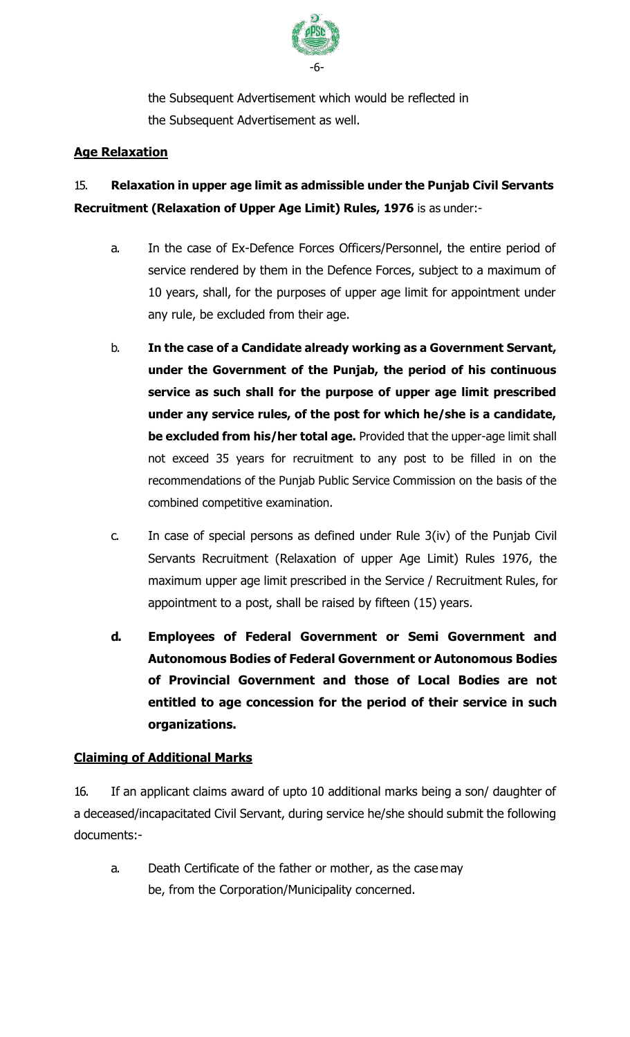

the Subsequent Advertisement which would be reflected in the Subsequent Advertisement as well.

### **Age Relaxation**

## 15. **Relaxation in upper age limit as admissible under the Punjab Civil Servants Recruitment (Relaxation of Upper Age Limit) Rules, 1976** is as under:-

- a. In the case of Ex-Defence Forces Officers/Personnel, the entire period of service rendered by them in the Defence Forces, subject to a maximum of 10 years, shall, for the purposes of upper age limit for appointment under any rule, be excluded from their age.
- b. **In the case of a Candidate already working as a Government Servant, under the Government of the Punjab, the period of his continuous service as such shall for the purpose of upper age limit prescribed under any service rules, of the post for which he/she is a candidate, be excluded from his/her total age.** Provided that the upper-age limit shall not exceed 35 years for recruitment to any post to be filled in on the recommendations of the Punjab Public Service Commission on the basis of the combined competitive examination.
- c. In case of special persons as defined under Rule 3(iv) of the Punjab Civil Servants Recruitment (Relaxation of upper Age Limit) Rules 1976, the maximum upper age limit prescribed in the Service / Recruitment Rules, for appointment to a post, shall be raised by fifteen (15) years.
- **d. Employees of Federal Government or Semi Government and Autonomous Bodies of Federal Government or Autonomous Bodies of Provincial Government and those of Local Bodies are not entitled to age concession for the period of their service in such organizations.**

### **Claiming of Additional Marks**

16. If an applicant claims award of upto 10 additional marks being a son/ daughter of a deceased/incapacitated Civil Servant, during service he/she should submit the following documents:-

a. Death Certificate of the father or mother, as the case may be, from the Corporation/Municipality concerned.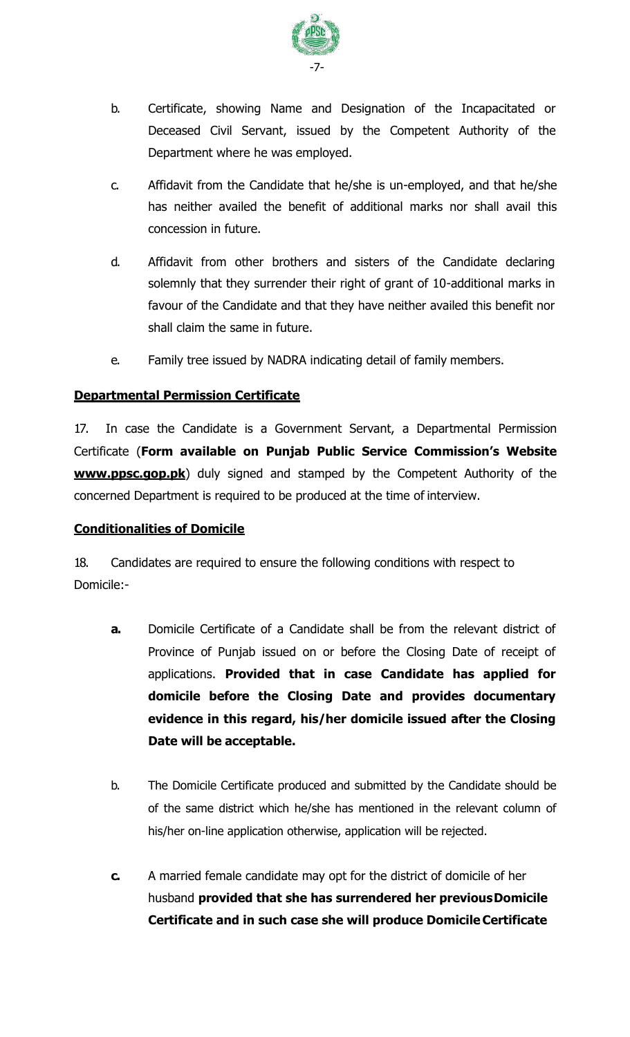

- b. Certificate, showing Name and Designation of the Incapacitated or Deceased Civil Servant, issued by the Competent Authority of the Department where he was employed.
- c. Affidavit from the Candidate that he/she is un-employed, and that he/she has neither availed the benefit of additional marks nor shall avail this concession in future.
- d. Affidavit from other brothers and sisters of the Candidate declaring solemnly that they surrender their right of grant of 10-additional marks in favour of the Candidate and that they have neither availed this benefit nor shall claim the same in future.
- e. Family tree issued by NADRA indicating detail of family members.

### **Departmental Permission Certificate**

17. In case the Candidate is a Government Servant, a Departmental Permission Certificate (**Form available on Punjab Public Service Commission's Website www.ppsc.gop.pk**) duly signed and stamped by the Competent Authority of the concerned Department is required to be produced at the time of interview.

### **Conditionalities of Domicile**

18. Candidates are required to ensure the following conditions with respect to Domicile:-

- **a.** Domicile Certificate of a Candidate shall be from the relevant district of Province of Punjab issued on or before the Closing Date of receipt of applications. **Provided that in case Candidate has applied for domicile before the Closing Date and provides documentary evidence in this regard, his/her domicile issued after the Closing Date will be acceptable.**
- b. The Domicile Certificate produced and submitted by the Candidate should be of the same district which he/she has mentioned in the relevant column of his/her on-line application otherwise, application will be rejected.
- **c.** A married female candidate may opt for the district of domicile of her husband **provided that she has surrendered her previousDomicile Certificate and in such case she will produce DomicileCertificate**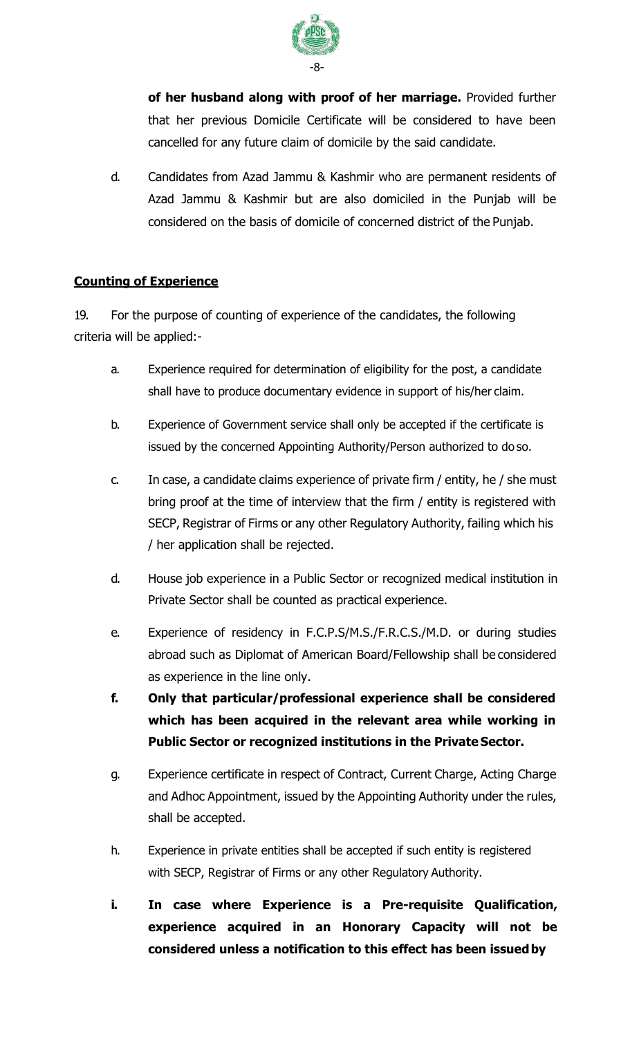

**of her husband along with proof of her marriage.** Provided further that her previous Domicile Certificate will be considered to have been cancelled for any future claim of domicile by the said candidate.

d. Candidates from Azad Jammu & Kashmir who are permanent residents of Azad Jammu & Kashmir but are also domiciled in the Punjab will be considered on the basis of domicile of concerned district of the Punjab.

### **Counting of Experience**

19. For the purpose of counting of experience of the candidates, the following criteria will be applied:-

- a. Experience required for determination of eligibility for the post, a candidate shall have to produce documentary evidence in support of his/her claim.
- b. Experience of Government service shall only be accepted if the certificate is issued by the concerned Appointing Authority/Person authorized to do so.
- c. In case, a candidate claims experience of private firm / entity, he / she must bring proof at the time of interview that the firm / entity is registered with SECP, Registrar of Firms or any other Regulatory Authority, failing which his / her application shall be rejected.
- d. House job experience in a Public Sector or recognized medical institution in Private Sector shall be counted as practical experience.
- e. Experience of residency in F.C.P.S/M.S./F.R.C.S./M.D. or during studies abroad such as Diplomat of American Board/Fellowship shall be considered as experience in the line only.
- **f. Only that particular/professional experience shall be considered which has been acquired in the relevant area while working in Public Sector or recognized institutions in the Private Sector.**
- g. Experience certificate in respect of Contract, Current Charge, Acting Charge and Adhoc Appointment, issued by the Appointing Authority under the rules, shall be accepted.
- h. Experience in private entities shall be accepted if such entity is registered with SECP, Registrar of Firms or any other Regulatory Authority.
- **i. In case where Experience is a Pre-requisite Qualification, experience acquired in an Honorary Capacity will not be considered unless a notification to this effect has been issuedby**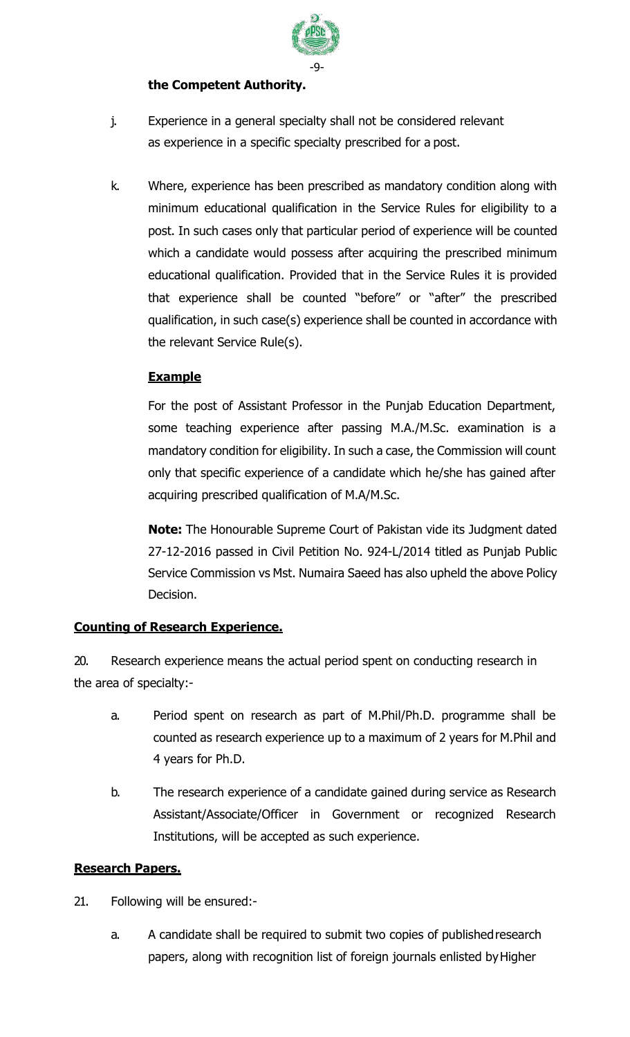

### **the Competent Authority.**

- j. Experience in a general specialty shall not be considered relevant as experience in a specific specialty prescribed for a post.
- k. Where, experience has been prescribed as mandatory condition along with minimum educational qualification in the Service Rules for eligibility to a post. In such cases only that particular period of experience will be counted which a candidate would possess after acquiring the prescribed minimum educational qualification. Provided that in the Service Rules it is provided that experience shall be counted "before" or "after" the prescribed qualification, in such case(s) experience shall be counted in accordance with the relevant Service Rule(s).

### **Example**

For the post of Assistant Professor in the Punjab Education Department, some teaching experience after passing M.A./M.Sc. examination is a mandatory condition for eligibility. In such a case, the Commission will count only that specific experience of a candidate which he/she has gained after acquiring prescribed qualification of M.A/M.Sc.

**Note:** The Honourable Supreme Court of Pakistan vide its Judgment dated 27-12-2016 passed in Civil Petition No. 924-L/2014 titled as Punjab Public Service Commission vs Mst. Numaira Saeed has also upheld the above Policy Decision.

### **Counting of Research Experience.**

20. Research experience means the actual period spent on conducting research in the area of specialty:-

- a. Period spent on research as part of M.Phil/Ph.D. programme shall be counted as research experience up to a maximum of 2 years for M.Phil and 4 years for Ph.D.
- b. The research experience of a candidate gained during service as Research Assistant/Associate/Officer in Government or recognized Research Institutions, will be accepted as such experience.

### **Research Papers.**

- 21. Following will be ensured:
	- a. A candidate shall be required to submit two copies of publishedresearch papers, along with recognition list of foreign journals enlisted byHigher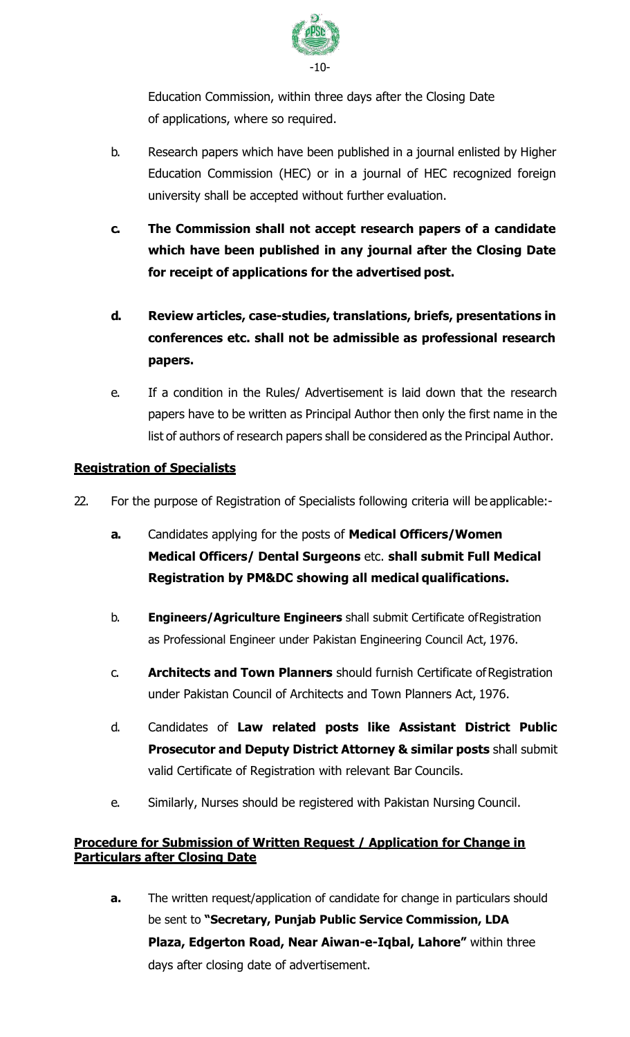

Education Commission, within three days after the Closing Date of applications, where so required.

- b. Research papers which have been published in a journal enlisted by Higher Education Commission (HEC) or in a journal of HEC recognized foreign university shall be accepted without further evaluation.
- **c. The Commission shall not accept research papers of a candidate which have been published in any journal after the Closing Date for receipt of applications for the advertised post.**
- **d. Review articles, case-studies, translations, briefs, presentations in conferences etc. shall not be admissible as professional research papers.**
- e. If a condition in the Rules/ Advertisement is laid down that the research papers have to be written as Principal Author then only the first name in the list of authors of research papers shall be considered as the Principal Author.

### **Registration of Specialists**

- 22. For the purpose of Registration of Specialists following criteria will be applicable:
	- **a.** Candidates applying for the posts of **Medical Officers/Women Medical Officers/ Dental Surgeons** etc. **shall submit Full Medical Registration by PM&DC showing all medical qualifications.**
	- b. **Engineers/Agriculture Engineers** shall submit Certificate ofRegistration as Professional Engineer under Pakistan Engineering Council Act, 1976.
	- c. **Architects and Town Planners** should furnish Certificate ofRegistration under Pakistan Council of Architects and Town Planners Act, 1976.
	- d. Candidates of **Law related posts like Assistant District Public Prosecutor and Deputy District Attorney & similar posts** shall submit valid Certificate of Registration with relevant Bar Councils.
	- e. Similarly, Nurses should be registered with Pakistan Nursing Council.

### **Procedure for Submission of Written Request / Application for Change in Particulars after Closing Date**

**a.** The written request/application of candidate for change in particulars should be sent to **"Secretary, Punjab Public Service Commission, LDA Plaza, Edgerton Road, Near Aiwan-e-Iqbal, Lahore"** within three days after closing date of advertisement.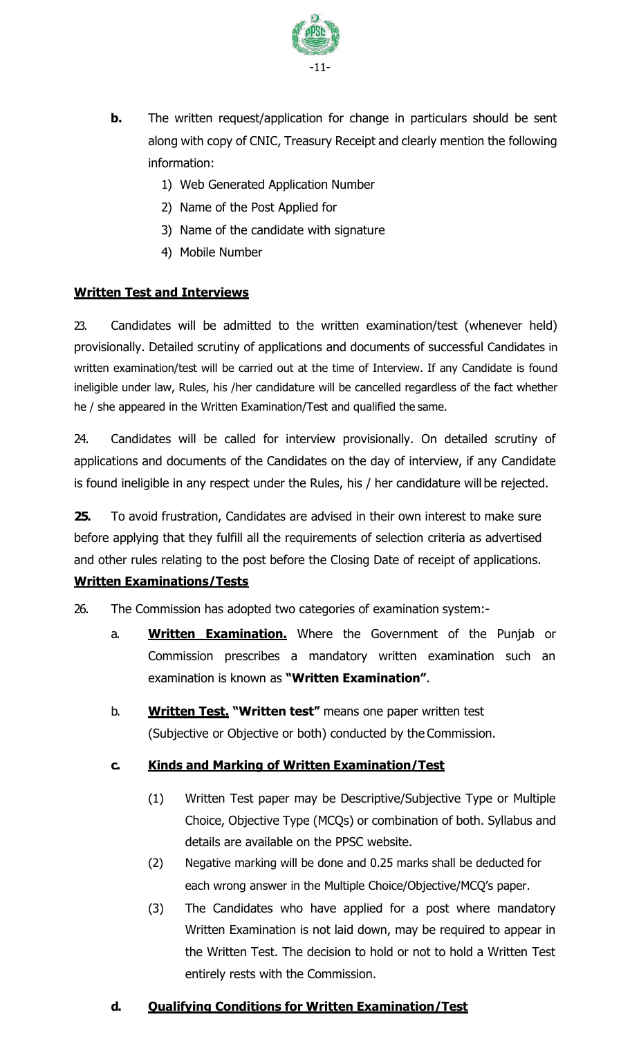

- **b.** The written request/application for change in particulars should be sent along with copy of CNIC, Treasury Receipt and clearly mention the following information:
	- 1) Web Generated Application Number
	- 2) Name of the Post Applied for
	- 3) Name of the candidate with signature
	- 4) Mobile Number

### **Written Test and Interviews**

23. Candidates will be admitted to the written examination/test (whenever held) provisionally. Detailed scrutiny of applications and documents of successful Candidates in written examination/test will be carried out at the time of Interview. If any Candidate is found ineligible under law, Rules, his /her candidature will be cancelled regardless of the fact whether he / she appeared in the Written Examination/Test and qualified the same.

24. Candidates will be called for interview provisionally. On detailed scrutiny of applications and documents of the Candidates on the day of interview, if any Candidate is found ineligible in any respect under the Rules, his / her candidature will be rejected.

**25.** To avoid frustration, Candidates are advised in their own interest to make sure before applying that they fulfill all the requirements of selection criteria as advertised and other rules relating to the post before the Closing Date of receipt of applications.

### **Written Examinations/Tests**

26. The Commission has adopted two categories of examination system:-

- a. **Written Examination.** Where the Government of the Punjab or Commission prescribes a mandatory written examination such an examination is known as **"Written Examination"**.
- b. **Written Test. "Written test"** means one paper written test (Subjective or Objective or both) conducted by the Commission.

### **c. Kinds and Marking of Written Examination/Test**

- (1) Written Test paper may be Descriptive/Subjective Type or Multiple Choice, Objective Type (MCQs) or combination of both. Syllabus and details are available on the PPSC website.
- (2) Negative marking will be done and 0.25 marks shall be deducted for each wrong answer in the Multiple Choice/Objective/MCQ's paper.
- (3) The Candidates who have applied for a post where mandatory Written Examination is not laid down, may be required to appear in the Written Test. The decision to hold or not to hold a Written Test entirely rests with the Commission.

### **d. Qualifying Conditions for Written Examination/Test**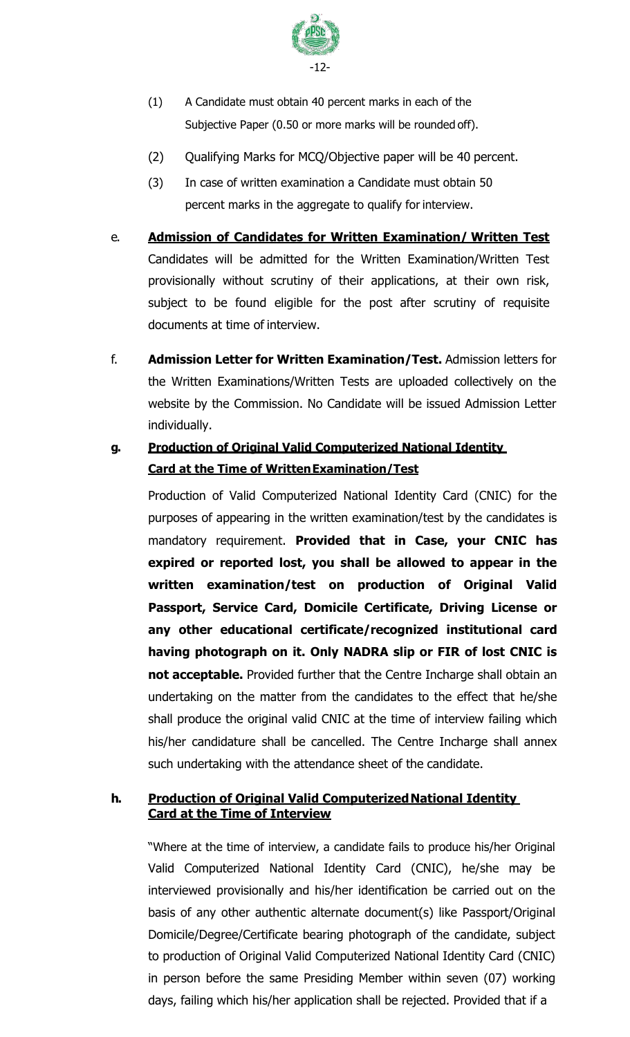

- (1) A Candidate must obtain 40 percent marks in each of the Subjective Paper (0.50 or more marks will be rounded off).
- (2) Qualifying Marks for MCQ/Objective paper will be 40 percent.
- (3) In case of written examination a Candidate must obtain 50 percent marks in the aggregate to qualify for interview.
- e. **Admission of Candidates for Written Examination/ Written Test** Candidates will be admitted for the Written Examination/Written Test provisionally without scrutiny of their applications, at their own risk, subject to be found eligible for the post after scrutiny of requisite documents at time of interview.
- f. **Admission Letter for Written Examination/Test.** Admission letters for the Written Examinations/Written Tests are uploaded collectively on the website by the Commission. No Candidate will be issued Admission Letter individually.

### **g. Production of Original Valid Computerized National Identity Card at the Time of WrittenExamination/Test**

Production of Valid Computerized National Identity Card (CNIC) for the purposes of appearing in the written examination/test by the candidates is mandatory requirement. **Provided that in Case, your CNIC has expired or reported lost, you shall be allowed to appear in the written examination/test on production of Original Valid Passport, Service Card, Domicile Certificate, Driving License or any other educational certificate/recognized institutional card having photograph on it. Only NADRA slip or FIR of lost CNIC is not acceptable.** Provided further that the Centre Incharge shall obtain an undertaking on the matter from the candidates to the effect that he/she shall produce the original valid CNIC at the time of interview failing which his/her candidature shall be cancelled. The Centre Incharge shall annex such undertaking with the attendance sheet of the candidate.

### **h. Production of Original Valid ComputerizedNational Identity Card at the Time of Interview**

"Where at the time of interview, a candidate fails to produce his/her Original Valid Computerized National Identity Card (CNIC), he/she may be interviewed provisionally and his/her identification be carried out on the basis of any other authentic alternate document(s) like Passport/Original Domicile/Degree/Certificate bearing photograph of the candidate, subject to production of Original Valid Computerized National Identity Card (CNIC) in person before the same Presiding Member within seven (07) working days, failing which his/her application shall be rejected. Provided that if a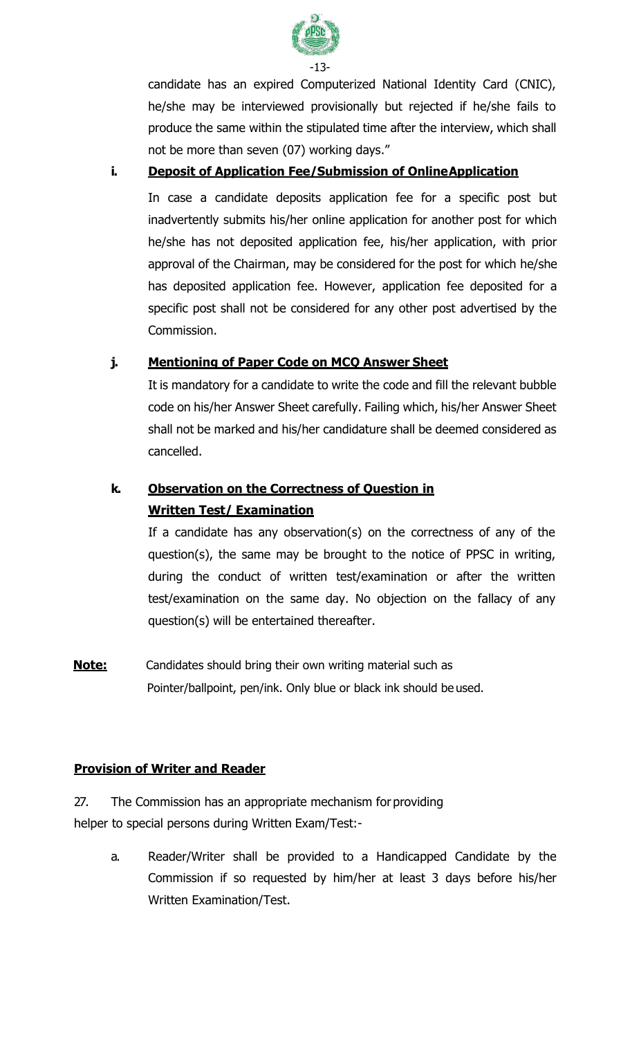

candidate has an expired Computerized National Identity Card (CNIC), he/she may be interviewed provisionally but rejected if he/she fails to produce the same within the stipulated time after the interview, which shall not be more than seven (07) working days."

### **i. Deposit of Application Fee/Submission of OnlineApplication**

In case a candidate deposits application fee for a specific post but inadvertently submits his/her online application for another post for which he/she has not deposited application fee, his/her application, with prior approval of the Chairman, may be considered for the post for which he/she has deposited application fee. However, application fee deposited for a specific post shall not be considered for any other post advertised by the Commission.

### **j. Mentioning of Paper Code on MCQ Answer Sheet**

It is mandatory for a candidate to write the code and fill the relevant bubble code on his/her Answer Sheet carefully. Failing which, his/her Answer Sheet shall not be marked and his/her candidature shall be deemed considered as cancelled.

### **k. [Observation on the Correctness of Question in](http://www.ppsc.gop.pk/(S(nagmip0ssyarbp20k5c4s4zp))/INSTRUCTIONS/ObservationOnQuestion.aspx) [Written T](http://www.ppsc.gop.pk/(S(nagmip0ssyarbp20k5c4s4zp))/INSTRUCTIONS/ObservationOnQuestion.aspx)est/ [Examination](http://www.ppsc.gop.pk/(S(nagmip0ssyarbp20k5c4s4zp))/INSTRUCTIONS/ObservationOnQuestion.aspx)**

If a candidate has any observation(s) on the correctness of any of the question(s), the same may be brought to the notice of PPSC in writing, during the conduct of written test/examination or after the written test/examination on the same day. No objection on the fallacy of any question(s) will be entertained thereafter.

**Note:** Candidates should bring their own writing material such as Pointer/ballpoint, pen/ink. Only blue or black ink should be used.

### **Provision of Writer and Reader**

### 27. The Commission has an appropriate mechanism for providing helper to special persons during Written Exam/Test:-

a. Reader/Writer shall be provided to a Handicapped Candidate by the Commission if so requested by him/her at least 3 days before his/her Written Examination/Test.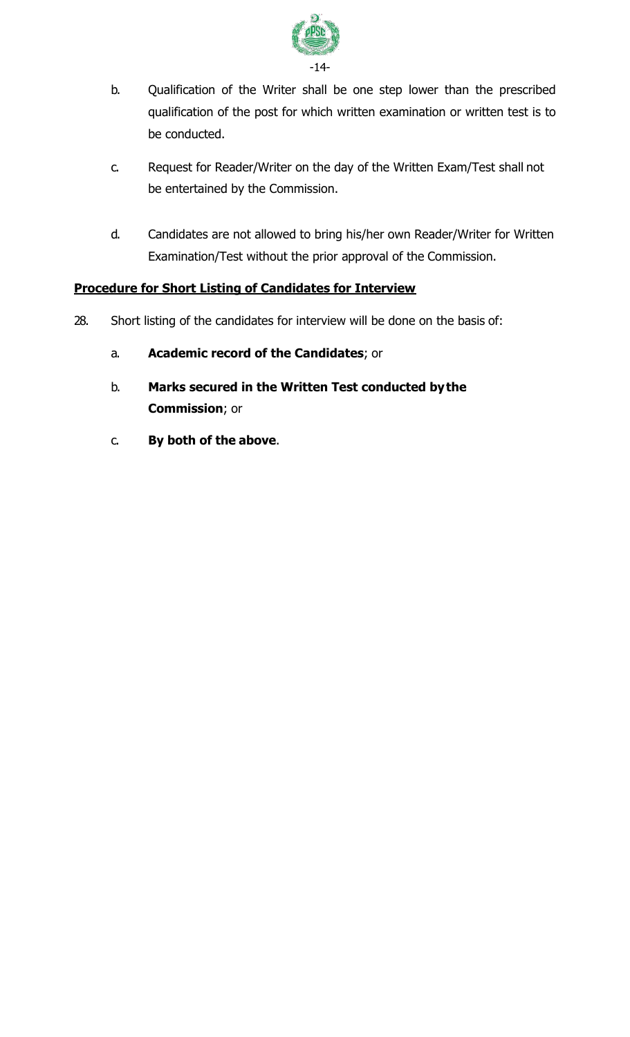

- b. Qualification of the Writer shall be one step lower than the prescribed qualification of the post for which written examination or written test is to be conducted.
- c. Request for Reader/Writer on the day of the Written Exam/Test shall not be entertained by the Commission.
- d. Candidates are not allowed to bring his/her own Reader/Writer for Written Examination/Test without the prior approval of the Commission.

### **Procedure for Short Listing of Candidates for Interview**

- 28. Short listing of the candidates for interview will be done on the basis of:
	- a. **Academic record of the Candidates**; or
	- b. **Marks secured in the Written Test conducted bythe Commission**; or
	- c. **By both of the above**.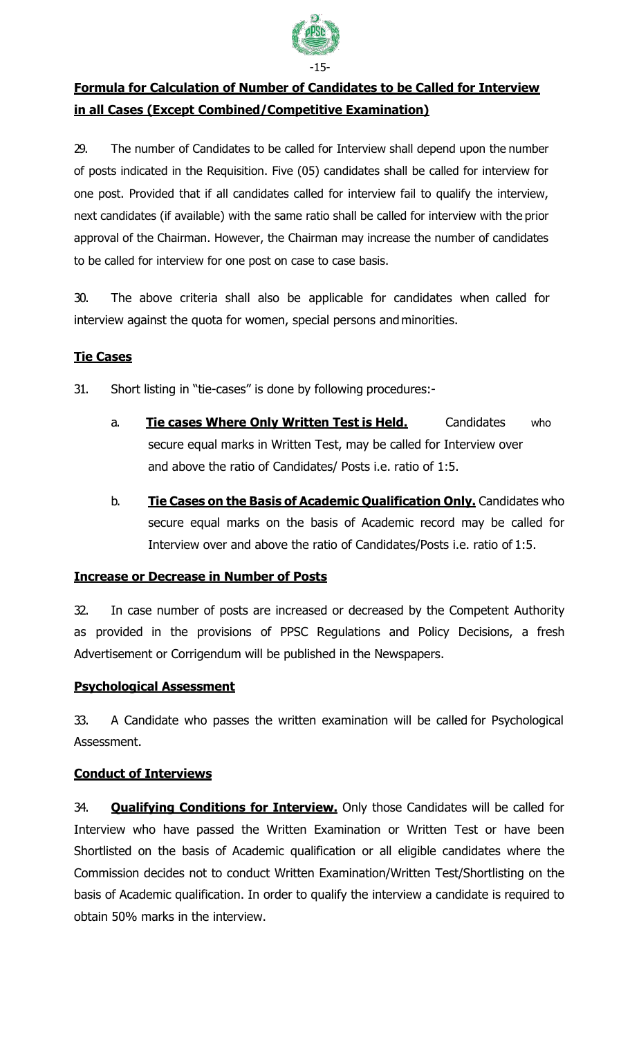

### **Formula for Calculation of Number of Candidates to be Called for Interview in all Cases (Except Combined/Competitive Examination)**

29. The number of Candidates to be called for Interview shall depend upon the number of posts indicated in the Requisition. Five (05) candidates shall be called for interview for one post. Provided that if all candidates called for interview fail to qualify the interview, next candidates (if available) with the same ratio shall be called for interview with the prior approval of the Chairman. However, the Chairman may increase the number of candidates to be called for interview for one post on case to case basis.

30. The above criteria shall also be applicable for candidates when called for interview against the quota for women, special persons and minorities.

### **Tie Cases**

31. Short listing in "tie-cases" is done by following procedures:-

- a. **Tie cases Where Only Written Test is Held.** Candidates who secure equal marks in Written Test, may be called for Interview over and above the ratio of Candidates/ Posts i.e. ratio of 1:5.
- b. **Tie Cases on the Basis of Academic Qualification Only.** Candidates who secure equal marks on the basis of Academic record may be called for Interview over and above the ratio of Candidates/Posts i.e. ratio of 1:5.

### **Increase or Decrease in Number of Posts**

32. In case number of posts are increased or decreased by the Competent Authority as provided in the provisions of PPSC Regulations and Policy Decisions, a fresh Advertisement or Corrigendum will be published in the Newspapers.

### **Psychological Assessment**

33. A Candidate who passes the written examination will be called for Psychological Assessment.

### **Conduct of Interviews**

34. **Qualifying Conditions for Interview.** Only those Candidates will be called for Interview who have passed the Written Examination or Written Test or have been Shortlisted on the basis of Academic qualification or all eligible candidates where the Commission decides not to conduct Written Examination/Written Test/Shortlisting on the basis of Academic qualification. In order to qualify the interview a candidate is required to obtain 50% marks in the interview.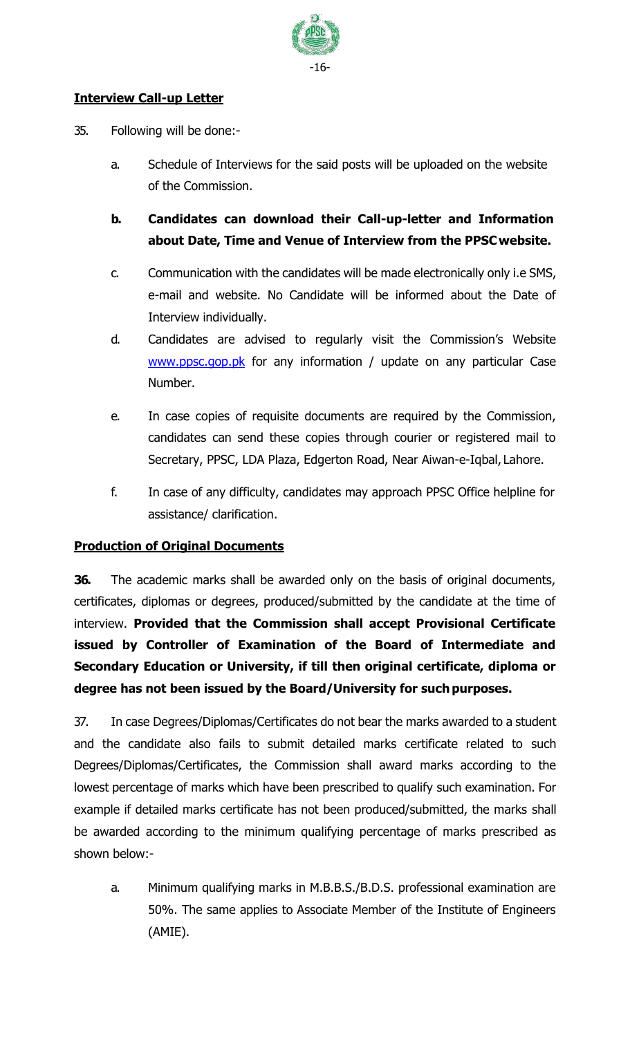

### **Interview Call-up Letter**

- 35. Following will be done:
	- a. Schedule of Interviews for the said posts will be uploaded on the website of the Commission.
	- **b. Candidates can download their Call-up-letter and Information about Date, Time and Venue of Interview from the PPSCwebsite.**
	- c. Communication with the candidates will be made electronically only i.e SMS, e-mail and website. No Candidate will be informed about the Date of Interview individually.
	- d. Candidates are advised to regularly visit the Commission's Website [www.ppsc.gop.pk](http://www.ppsc.gop.pk/) for any information / update on any particular Case Number.
	- e. In case copies of requisite documents are required by the Commission, candidates can send these copies through courier or registered mail to Secretary, PPSC, LDA Plaza, Edgerton Road, Near Aiwan-e-Iqbal, Lahore.
	- f. In case of any difficulty, candidates may approach PPSC Office helpline for assistance/ clarification.

### **Production of Original Documents**

**36.** The academic marks shall be awarded only on the basis of original documents, certificates, diplomas or degrees, produced/submitted by the candidate at the time of interview. **Provided that the Commission shall accept Provisional Certificate issued by Controller of Examination of the Board of Intermediate and Secondary Education or University, if till then original certificate, diploma or degree has not been issued by the Board/University for such purposes.**

37. In case Degrees/Diplomas/Certificates do not bear the marks awarded to a student and the candidate also fails to submit detailed marks certificate related to such Degrees/Diplomas/Certificates, the Commission shall award marks according to the lowest percentage of marks which have been prescribed to qualify such examination. For example if detailed marks certificate has not been produced/submitted, the marks shall be awarded according to the minimum qualifying percentage of marks prescribed as shown below:-

a. Minimum qualifying marks in M.B.B.S./B.D.S. professional examination are 50%. The same applies to Associate Member of the Institute of Engineers (AMIE).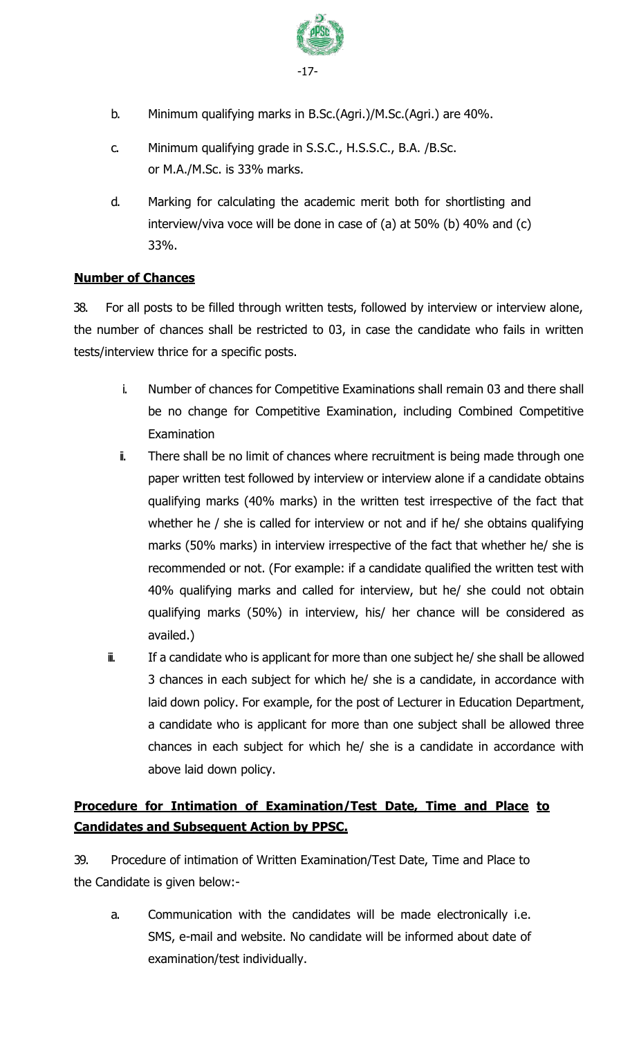

- b. Minimum qualifying marks in B.Sc.(Agri.)/M.Sc.(Agri.) are 40%.
- c. Minimum qualifying grade in S.S.C., H.S.S.C., B.A. /B.Sc. or M.A./M.Sc. is 33% marks.
- d. Marking for calculating the academic merit both for shortlisting and interview/viva voce will be done in case of (a) at 50% (b) 40% and (c) 33%.

### **Number of Chances**

38. For all posts to be filled through written tests, followed by interview or interview alone, the number of chances shall be restricted to 03, in case the candidate who fails in written tests/interview thrice for a specific posts.

- i. Number of chances for Competitive Examinations shall remain 03 and there shall be no change for Competitive Examination, including Combined Competitive **Examination**
- i. There shall be no limit of chances where recruitment is being made through one paper written test followed by interview or interview alone if a candidate obtains qualifying marks (40% marks) in the written test irrespective of the fact that whether he / she is called for interview or not and if he/ she obtains qualifying marks (50% marks) in interview irrespective of the fact that whether he/ she is recommended or not. (For example: if a candidate qualified the written test with 40% qualifying marks and called for interview, but he/ she could not obtain qualifying marks (50%) in interview, his/ her chance will be considered as availed.)
- ii. If a candidate who is applicant for more than one subject he/ she shall be allowed 3 chances in each subject for which he/ she is a candidate, in accordance with laid down policy. For example, for the post of Lecturer in Education Department, a candidate who is applicant for more than one subject shall be allowed three chances in each subject for which he/ she is a candidate in accordance with above laid down policy.

### **Procedure for Intimation of Examination/Test Date, Time and Place to Candidates and Subsequent Action by PPSC.**

39. Procedure of intimation of Written Examination/Test Date, Time and Place to the Candidate is given below:-

a. Communication with the candidates will be made electronically i.e. SMS, e-mail and website. No candidate will be informed about date of examination/test individually.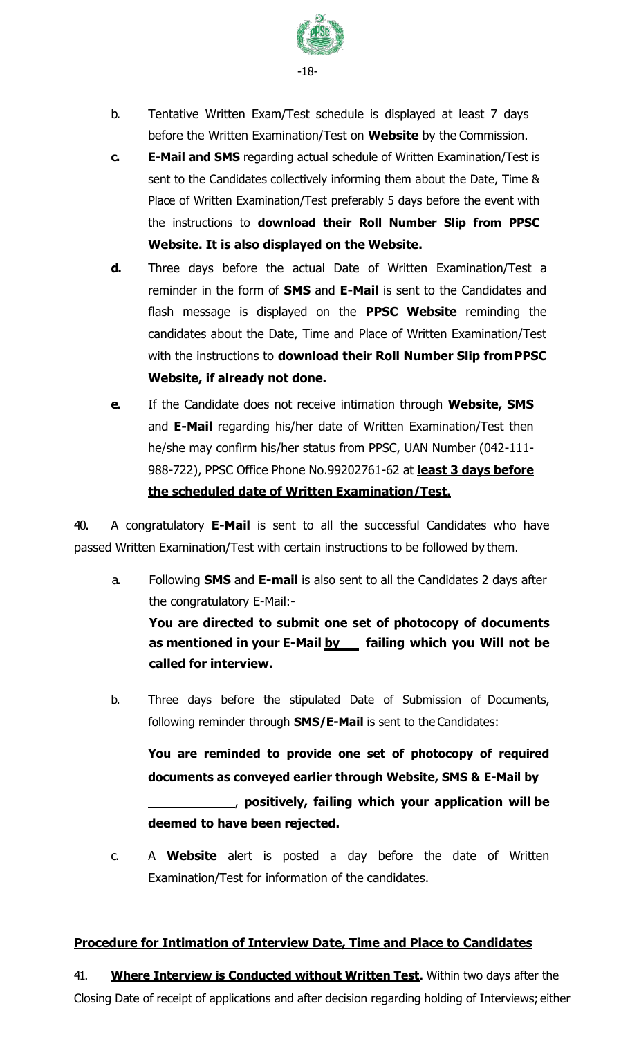

- b. Tentative Written Exam/Test schedule is displayed at least 7 days before the Written Examination/Test on **Website** by the Commission.
- **c. E-Mail and SMS** regarding actual schedule of Written Examination/Test is sent to the Candidates collectively informing them about the Date, Time & Place of Written Examination/Test preferably 5 days before the event with the instructions to **download their Roll Number Slip from PPSC Website. It is also displayed on the Website.**
- **d.** Three days before the actual Date of Written Examination/Test a reminder in the form of **SMS** and **E-Mail** is sent to the Candidates and flash message is displayed on the **PPSC Website** reminding the candidates about the Date, Time and Place of Written Examination/Test with the instructions to **download their Roll Number Slip fromPPSC Website, if already not done.**
- **e.** If the Candidate does not receive intimation through **Website, SMS**  and **E-Mail** regarding his/her date of Written Examination/Test then he/she may confirm his/her status from PPSC, UAN Number (042-111- 988-722), PPSC Office Phone No.99202761-62 at **least 3 days before the scheduled date of Written Examination/Test.**

40. A congratulatory **E-Mail** is sent to all the successful Candidates who have passed Written Examination/Test with certain instructions to be followed by them.

- a. Following **SMS** and **E-mail** is also sent to all the Candidates 2 days after the congratulatory E-Mail:- **You are directed to submit one set of photocopy of documents as mentioned in your E-Mail by failing which you Will not be called for interview.**
- b. Three days before the stipulated Date of Submission of Documents, following reminder through **SMS/E-Mail** is sent to the Candidates:

**You are reminded to provide one set of photocopy of required documents as conveyed earlier through Website, SMS & E-Mail by** , **positively, failing which your application will be deemed to have been rejected.**

c. A **Website** alert is posted a day before the date of Written Examination/Test for information of the candidates.

### **Procedure for Intimation of Interview Date, Time and Place to Candidates**

41. **Where Interview is Conducted without Written Test.** Within two days after the Closing Date of receipt of applications and after decision regarding holding of Interviews; either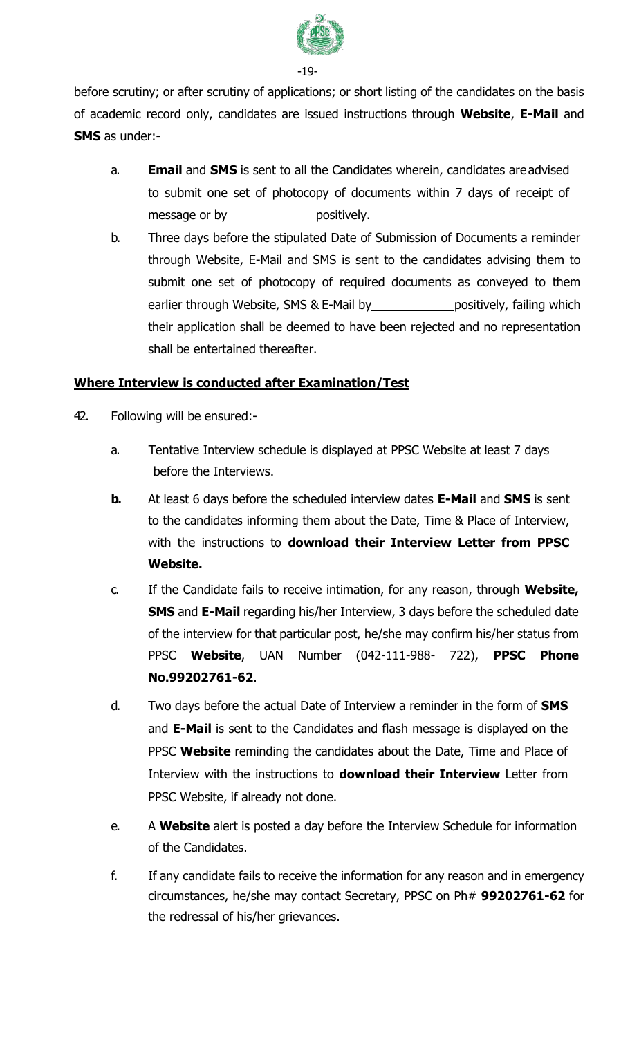

-19-

before scrutiny; or after scrutiny of applications; or short listing of the candidates on the basis of academic record only, candidates are issued instructions through **Website**, **E-Mail** and **SMS** as under:-

- a. **Email** and **SMS** is sent to all the Candidates wherein, candidates are advised to submit one set of photocopy of documents within 7 days of receipt of message or by positively.
- b. Three days before the stipulated Date of Submission of Documents a reminder through Website, E-Mail and SMS is sent to the candidates advising them to submit one set of photocopy of required documents as conveyed to them earlier through Website, SMS & E-Mail by positively, failing which their application shall be deemed to have been rejected and no representation shall be entertained thereafter.

### **Where Interview is conducted after Examination/Test**

- 42. Following will be ensured:
	- a. Tentative Interview schedule is displayed at PPSC Website at least 7 days before the Interviews.
	- **b.** At least 6 days before the scheduled interview dates **E-Mail** and **SMS** is sent to the candidates informing them about the Date, Time & Place of Interview, with the instructions to **download their Interview Letter from PPSC Website.**
	- c. If the Candidate fails to receive intimation, for any reason, through **Website, SMS** and **E-Mail** regarding his/her Interview, 3 days before the scheduled date of the interview for that particular post, he/she may confirm his/her status from PPSC **Website**, UAN Number (042-111-988- 722), **PPSC Phone No.99202761-62**.
	- d. Two days before the actual Date of Interview a reminder in the form of **SMS**  and **E-Mail** is sent to the Candidates and flash message is displayed on the PPSC **Website** reminding the candidates about the Date, Time and Place of Interview with the instructions to **download their Interview** Letter from PPSC Website, if already not done.
	- e. A **Website** alert is posted a day before the Interview Schedule for information of the Candidates.
	- f. If any candidate fails to receive the information for any reason and in emergency circumstances, he/she may contact Secretary, PPSC on Ph# **99202761-62** for the redressal of his/her grievances.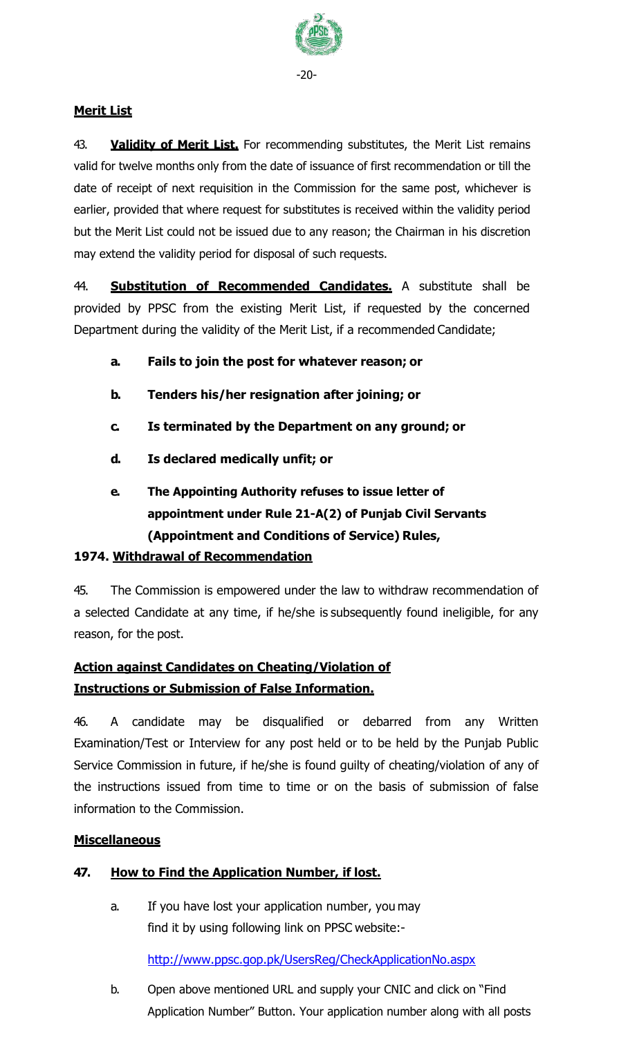

### **Merit List**

43. **Validity of Merit List.** For recommending substitutes, the Merit List remains valid for twelve months only from the date of issuance of first recommendation or till the date of receipt of next requisition in the Commission for the same post, whichever is earlier, provided that where request for substitutes is received within the validity period but the Merit List could not be issued due to any reason; the Chairman in his discretion may extend the validity period for disposal of such requests.

44. **Substitution of Recommended Candidates.** A substitute shall be provided by PPSC from the existing Merit List, if requested by the concerned Department during the validity of the Merit List, if a recommended Candidate;

- **a. Fails to join the post for whatever reason; or**
- **b. Tenders his/her resignation after joining; or**
- **c. Is terminated by the Department on any ground; or**
- **d. Is declared medically unfit; or**
- **e. The Appointing Authority refuses to issue letter of appointment under Rule 21-A(2) of Punjab Civil Servants (Appointment and Conditions of Service) Rules,**

### **1974. Withdrawal of Recommendation**

45. The Commission is empowered under the law to withdraw recommendation of a selected Candidate at any time, if he/she is subsequently found ineligible, for any reason, for the post.

### **Action against Candidates on Cheating/Violation of Instructions or Submission of False Information.**

46. A candidate may be disqualified or debarred from any Written Examination/Test or Interview for any post held or to be held by the Punjab Public Service Commission in future, if he/she is found guilty of cheating/violation of any of the instructions issued from time to time or on the basis of submission of false information to the Commission.

### **Miscellaneous**

### **47. How to Find the Application Number, if lost.**

a. If you have lost your application number, you may find it by using following link on PPSC website:-

<http://www.ppsc.gop.pk/UsersReg/CheckApplicationNo.aspx>

b. Open above mentioned URL and supply your CNIC and click on "Find Application Number" Button. Your application number along with all posts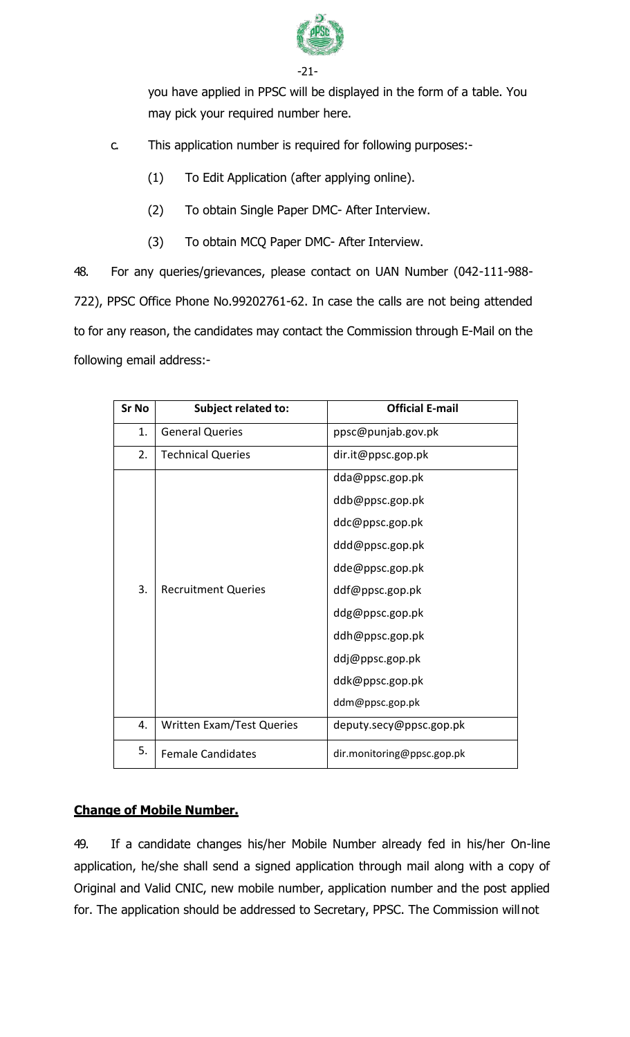

-21-

you have applied in PPSC will be displayed in the form of a table. You may pick your required number here.

- c. This application number is required for following purposes:-
	- (1) To Edit Application (after applying online).
	- (2) To obtain Single Paper DMC- After Interview.
	- (3) To obtain MCQ Paper DMC- After Interview.

48. For any queries/grievances, please contact on UAN Number (042-111-988- 722), PPSC Office Phone No.99202761-62. In case the calls are not being attended to for any reason, the candidates may contact the Commission through E-Mail on the following email address:-

| <b>Sr No</b> | <b>Subject related to:</b>       | <b>Official E-mail</b>     |  |
|--------------|----------------------------------|----------------------------|--|
| 1.           | <b>General Queries</b>           | ppsc@punjab.gov.pk         |  |
| 2.           | <b>Technical Queries</b>         | dir.it@ppsc.gop.pk         |  |
|              |                                  | dda@ppsc.gop.pk            |  |
|              |                                  | ddb@ppsc.gop.pk            |  |
|              |                                  | ddc@ppsc.gop.pk            |  |
|              |                                  | ddd@ppsc.gop.pk            |  |
|              |                                  | dde@ppsc.gop.pk            |  |
| 3.           | <b>Recruitment Queries</b>       | ddf@ppsc.gop.pk            |  |
|              |                                  | ddg@ppsc.gop.pk            |  |
|              |                                  | ddh@ppsc.gop.pk            |  |
|              |                                  | ddj@ppsc.gop.pk            |  |
|              |                                  | ddk@ppsc.gop.pk            |  |
|              |                                  | ddm@ppsc.gop.pk            |  |
| 4.           | <b>Written Exam/Test Queries</b> | deputy.secy@ppsc.gop.pk    |  |
| 5.           | <b>Female Candidates</b>         | dir.monitoring@ppsc.gop.pk |  |

### **Change of Mobile Number.**

49. If a candidate changes his/her Mobile Number already fed in his/her On-line application, he/she shall send a signed application through mail along with a copy of Original and Valid CNIC, new mobile number, application number and the post applied for. The application should be addressed to Secretary, PPSC. The Commission willnot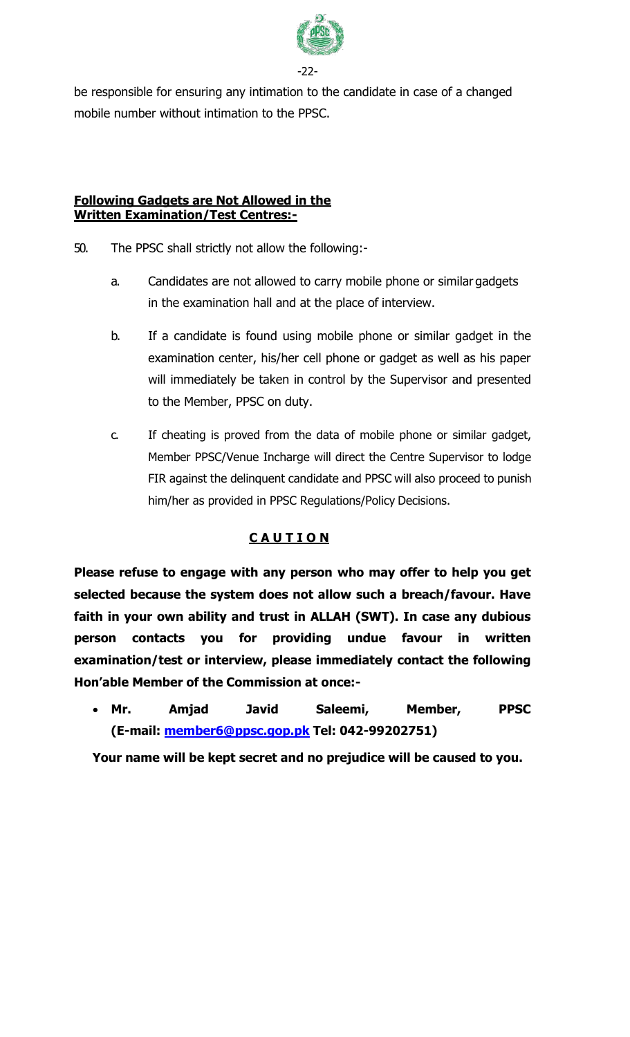

-22-

be responsible for ensuring any intimation to the candidate in case of a changed mobile number without intimation to the PPSC.

### **Following Gadgets are Not Allowed in the Written Examination/Test Centres:-**

- 50. The PPSC shall strictly not allow the following:
	- a. Candidates are not allowed to carry mobile phone or similar gadgets in the examination hall and at the place of interview.
	- b. If a candidate is found using mobile phone or similar gadget in the examination center, his/her cell phone or gadget as well as his paper will immediately be taken in control by the Supervisor and presented to the Member, PPSC on duty.
	- c. If cheating is proved from the data of mobile phone or similar gadget, Member PPSC/Venue Incharge will direct the Centre Supervisor to lodge FIR against the delinquent candidate and PPSC will also proceed to punish him/her as provided in PPSC Regulations/Policy Decisions.

### **C A U T I O N**

**Please refuse to engage with any person who may offer to help you get selected because the system does not allow such a breach/favour. Have faith in your own ability and trust in ALLAH (SWT). In case any dubious person contacts you for providing undue favour in written examination/test or interview, please immediately contact the following Hon'able Member of the Commission at once:-**

 **Mr. Amjad Javid Saleemi, Member, PPSC (E-mail: [member6@ppsc.gop.pk](mailto:member6@ppsc.gop.pk) Tel: 042-99202751)**

**Your name will be kept secret and no prejudice will be caused to you.**